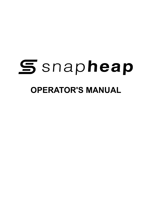# **S** snapheap **OPERATOR'S MANUAL**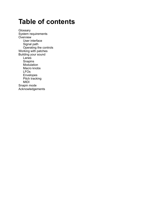# **Table of contents**

**[Glossary](#page-2-0)** [System requirements](#page-3-0) **[Overview](#page-4-0)** [User interface](#page-4-1) [Signal path](#page-5-0) [Operating the controls](#page-5-1) [Working with patches](#page-6-0) [Building your sound](#page-8-0) [Lanes](#page-8-1) **[Snapins](#page-8-2)** [Modulation](#page-9-0) [Macro knobs](#page-9-1) [LFOs](#page-10-0) [Envelopes](#page-11-0) [Pitch tracking](#page-12-0) [MIDI](#page-13-0) [Snapin mode](#page-14-0) [Acknowledgements](#page-15-0)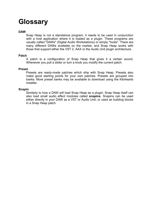# <span id="page-2-0"></span>**Glossary**

#### **DAW**

Snap Heap is not a standalone program, it needs to be used in conjunction with a host application where it is loaded as a plugin. These programs are usually called "DAWs" (Digital Audio Workstations) or simply "hosts". There are many different DAWs available on the market, and Snap Heap works with those that support either the VST 2, AAX or the Audio Unit plugin architecture.

#### **Patch**

A patch is a configuration of Snap Heap that gives it a certain sound. Whenever you pull a slider or turn a knob you modify the current patch.

#### **Preset**

Presets are ready-made patches which ship with Snap Heap. Presets also make good starting points for your own patches. Presets are grouped into banks. More preset banks may be available to download using the Kilohearts installer.

#### **Snapin**

Similarly to how a DAW will load Snap Heap as a plugin, Snap Heap itself can also load small audio effect modules called **snapins**. Snapins can be used either directly in your DAW as a VST or Audio Unit, or used as building blocks in a Snap Heap patch.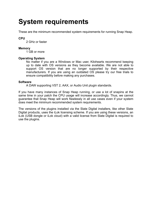# <span id="page-3-0"></span>**System requirements**

These are the minimum recommended system requirements for running Snap Heap.

#### **CPU**

2 GHz or faster

#### **Memory**

1 GB or more

#### **Operating System**

No matter if you are a Windows or Mac user, Kilohearts recommend keeping up to date with OS versions as they become available. We are not able to support OS version that are no longer supported by their respective manufacturers. If you are using an outdated OS please try our free trials to ensure compatibility before making any purchases.

#### **Software**

A DAW supporting VST 2, AAX, or Audio Unit plugin standards.

If you have many instances of Snap Heap running, or use a lot of snapins at the same time in your patch the CPU usage will increase accordingly. Thus, we cannot guarantee that Snap Heap will work flawlessly in all use cases even if your system does meet the minimum recommended system requirements.

The versions of the plugins installed via the Slate Digital installers, like other Slate Digital products, uses the iLok licensing scheme. If you are using these versions, an iLok (USB dongle or iLok cloud) with a valid license from Slate Digital is required to use the plugins.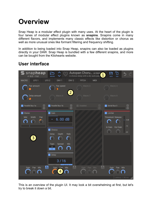# <span id="page-4-0"></span>**Overview**

Snap Heap is a modular effect plugin with many uses. At the heart of the plugin is four lanes of modular effect plugins known as **snapins**. Snapins come in many different flavors, and implements many classic effects like distortion or chorus as well as more unusual ones like formant filtering and frequency shifting.

In addition to being loaded into Snap Heap, snapins can also be loaded as plugins directly in your DAW. Snap Heap is bundled with a few different snapins, and more can be bought from the Kilohearts website.

# <span id="page-4-1"></span>**User interface**



This is an overview of the plugin UI. It may look a bit overwhelming at first, but let's try to break it down a bit.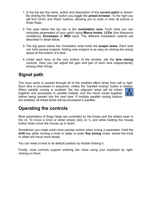- 1. In the top bar the name, author and description of the **current patch** is shown. By clicking the 'Browse' button you toggle the **preset browser**. To the right you will find 'Undo' and 'Redo' buttons, allowing you to undo or redo all actions in Snap Heap.
- 2. The area below the top bar is the **modulation area**. From here you can modulate parameters of your patch using **Macro knobs**, **LFOs** (low frequency oscillators), **Envelopes** or **MIDI** input. The different modulation options are described in detail below.
- 3. The big space below the modulation area holds the **snapin lanes**. Each lane can hold several snapins. Adding new snapins is as easy as clicking the empty space at the bottom of a lane.
- 4. Under each lane, at the very bottom of the window, sits the **lane mixing** controls. Here you can adjust the gain and pan of each lane independently, among other things.

## <span id="page-5-0"></span>**Signal path**

The input audio is passed through all of the enabled effect lanes from left to right. Each lane is processed in sequence, unless the "paralell routing" button is clicked. When parallel routing is enabled, the two adjacent lanes will be linked together and processed in parallel instead, and the result mixed together before being passed into the next lane. If multiple parallel routing buttons are enabled, all linked lanes will be processed in parallel.

### <span id="page-5-1"></span>**Operating the controls**

Most parameters of Snap Heap are controlled by the knobs and the sliders seen in the UI. To move a knob or slider simply click on it, and while holding the mouse button down move the mouse up or down.

Sometimes you might want more precise control when tuning a parameter. Hold the **shift** key while moving a knob or slider to enter **fine tuning** mode, where the knob or slider will move more slowly.

You can reset a knob to its default position by double clicking it.

Finally, most controls support entering the value using your keyboard by rightclicking on them.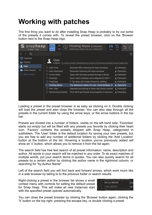# <span id="page-6-0"></span>**Working with patches**

The first thing you want to do after installing Snap Heap is probably to try out some of the presets it comes with. To reveal the preset browser, click on the 'Browse' button next to the Snap Heap logo.



Loading a preset in the preset browser is as easy as clicking on it. Double clicking will load the preset and also close the browser. You can also step through all the presets in the current folder by using the arrow keys, or the arrow buttons in the top bar.

Presets are divided into a number of folders, visible on the left hand side. 'Favorites' starts out empty but will be filled with any presets you favorite by clicking their heart icon. 'Factory' contains the presets shipped with Snap Heap, categorized in subfolders. The 'User' folder is the default location for saving your own presets, but you are free to add any number of additional folders by clicking the 'Add Location' button at the bottom of the list. Hovering a location you've previously added will show an 'x' button, which allows you to remove it from the list again.

The search field has free text search of all preset information: name, description and author. All words in your search will be matched in any order. To do exact matches of multiple words, put your search terms in quotes. You can also quickly search for all presets by a certain author by clicking the author name in the rightmost column, or searching for "by:Author Name"

Left of the search field you will find back and forward arrows, which work much like in a web browser by taking to to the previous folder or search results.

Right-clicking a preset in the browser list shows a small context menu with controls for setting the default preset for Snap Heap. This will make all new instances start with the specified preset opened automatically.



You can close the preset browser by clicking the 'Browse' button again, clicking the 'X' button on the top right, pressing the escape key, or double clicking a preset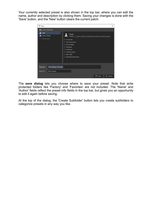Your currently selected preset is also shown in the top bar, where you can edit the name, author and description by clicking them. Saving your changes is done with the 'Save' button, and the 'New' button clears the current patch.

| <b>♡</b> Save                                       | ×                                                                                                                                                                                                                                                            |
|-----------------------------------------------------|--------------------------------------------------------------------------------------------------------------------------------------------------------------------------------------------------------------------------------------------------------------|
| <b>T</b> <sub>4</sub> Create Subfolder              |                                                                                                                                                                                                                                                              |
| User<br><b>Other Presets</b><br>$\Box$ Add location | User<br>8 items - C:\Users\Anders Stenberg\Documents\Kilohearts\prese<br><b>♡ Auto Filter</b><br>♡ Auto Resonator<br><b>♡</b> Driven Delay<br><b>♡</b> Envelope<br><b>♡</b> FreqDelay<br><b>♡ Howling Abyss</b><br><b>♡</b> Mid - Side<br>Shimmering Reverbs |
| <b>Howling Abyss</b><br>Name:                       |                                                                                                                                                                                                                                                              |
| Kilohearts<br>Author:                               |                                                                                                                                                                                                                                                              |
|                                                     | <b>P</b> Save<br>$\times$ Cancel                                                                                                                                                                                                                             |

The **save dialog** lets you choose where to save your preset. Note that write protected folders like 'Factory' and 'Favorites' are not included. The 'Name' and 'Author' fields reflect the preset info fields in the top bar, but gives you an opportunity to edit it again before saving.

At the top of the dialog, the 'Create Subfolder' button lets you create subfolders to categorize presets in any way you like.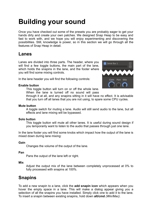# <span id="page-8-0"></span>**Building your sound**

Once you have checked out some of the presets you are probably eager to get your hands dirty and create your own patches. We designed Snap Heap to be easy and fast to work with, and we hope you will enjoy experimenting and discovering the possibilities. Still, knowledge is power, so in this section we will go through all the features of Snap Heap in detail.

### <span id="page-8-1"></span>**Lanes**

Lanes are divided into three parts. The header, where you will find a few toggle buttons, the main part of the lane, which holds the snapins in the lane, and the footer where you will find some mixing controls.

In the lane header you will find the following controls:

#### **Enable button**

This toggle button will turn on or off the whole lane. When the lane is turned off no sound will pass



through it at all, and any snapins sitting in it will have no effect. It is advisable that you turn off all lanes that you are not using, to spare some CPU cycles.

#### **Mute button**

A toggle switch for muting a lane. Audio will still send audio to the lane, but all effects and lane mixing will be bypassed.

#### **Solo button**

This toggle button will mute all other lanes. It is useful during sound design if you temporarily want to listen to the audio that passes through just one lane.

In the lane footer you will find some knobs which impact how the output of the lane is mixed down during lane mixing:

#### **Gain**

Changes the volume of the output of the lane.

#### **Pan**

Pans the output of the lane left or right.

#### **Mix**

Adjust the output mix of the lane between completely unprocessed at 0% to fully processed with snapins at 100%.

### <span id="page-8-2"></span>**Snapins**

To add a new snapin to a lane, click the **add snapin icon** which appears when you hover the empty space in a lane. This will make a dialog appear giving you a selection of all the snapins you have installed. Simply click one to add it to the lane. To insert a snapin between existing snapins, hold down **alt/cmd** *(Win/Mac)*.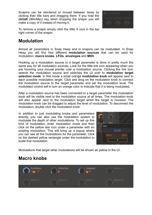Snapins can be reordered or moved between lanes by clicking their title bars and dragging them. If you hold the **ctrl/alt** *(Win/Mac)* key when dropping the snapin you will make a copy of it instead of moving it.



To remove a snapin simply click the little X icon in the top right corner of the snapin.

## <span id="page-9-0"></span>**Modulation**

Almost all parameters in Snap Heap and in snapins can be modulated. In Snap Heap you will find four different **modulation sources** that can be used for modulation; **macro knobs**, **LFOs**, **envelopes** and **MIDI**.

Hooking up a modulation source to a target parameter is done in pretty much the same way for all modulation sources. Look for the little link icon appearing when you are hovering your mouse pointer over a modulation source. Clicking the link icon selects the modulation source and switches the UI over to **modulation target selection mode**. In this mode a small orange **modulation knob** will appear next to each possible modulation target. Click and drag on the modulation knob to connect the modulation source to the target parameter and set the modulation level. The modulated control will to turn an orange color to indicate that it is being modulated.

After a modulation source has been connected to a target parameter the modulation knob will be visible next to the modulation source at all times. The modulation knob will also appear next to the modulation target when the target is hovered. The modulation knob can be dragged to adjust the level of modulation. To disconnect the modulation, double click the modulation knob.

In addition to just modulating knobs and parameters directly, you can also use the modulation system to modulate the depth of other modulations. To set up this kind of modulation, enter modulation mode and then click on the yellow star icon under a parameter with an existing modulation. This will bring up a popup where you can see all the modulations for the parameter. Click on the dashed yellow rectangle under the modulation to scale that modulation.



Modulations that target other modulations will be shown as yellow in the UI.

### <span id="page-9-1"></span>**Macro knobs**

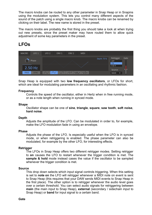The macro knobs can be routed to any other parameter in Snap Heap or in Snapins using the modulation system. This lets you control many different aspects of the sound of the patch using a single macro knob. The macro knobs can be renamed by clicking on their label. The new name is stored in the preset.

The macro knobs are probably the first thing you should take a look at when trying out new presets, since the preset maker may have routed them to allow quick adjustment of some key parameters in the preset.

# <span id="page-10-0"></span>**LFOs**

| <b>MACRO</b> | LFO <sub>1</sub> | LFO <sub>2</sub> | ENV <sub>1</sub> | ENV <sub>2</sub>               | <b>MIDI</b> |             |                          |      |
|--------------|------------------|------------------|------------------|--------------------------------|-------------|-------------|--------------------------|------|
|              | <b>Phase</b>     |                  |                  |                                |             | Depth: 75 % | Retrigger<br>OFF<br>ON   | Gate |
|              | 2.50 Hz          |                  |                  |                                |             |             | <b>S&amp;H</b><br>Source |      |
| <b>FREE</b>  | <b>SYNC</b>      |                  |                  | $\overline{\mathcal{M}}$<br>WM | $-11/4$     |             | <b>MAIN</b><br>▼         |      |

Snap Heap is equipped with two **low frequency oscillators**, or LFOs for short, which are ideal for modulating parameters in an oscillating and rhythmic fashion.

#### **Frequency**

Controls the speed of the oscillator, either in Hertz when in free running mode, or as a note length when running in synced mode.

#### **Shape**

Oscillator shape can be one of **sine**, **triangle**, **square**, **saw tooth**, **soft noise**, **hard noise**.

#### **Depth**

Adjusts the amplitude of the LFO. Can be modulated in order to, for example, make the LFO modulation fade in using an envelope.

#### **Phase**

Adjusts the phase of the LFO. Is especially useful when the LFO is in synced mode, or when retriggering is enabled. The phase parameter can also be modulated, for example by the other LFO, for interesting effects.

#### **Retrigger**

The LFOs in Snap Heap offers two different retrigger modes. Setting retrigger to **on** causes the LFO to restart whenever the trigger condition is met. The **sample & hold** mode instead cases the value if the oscillator to be sampled whenever the trigger condition is met.

#### **Source**

This drop down selects which input signal controls triggering. When this setting is set to **note on** the LFO will retrigger whenever a MIDI note on event is sent to Snap Heap (this requires that your DAW sends MIDI events to Snap Heap in the first place). The other option is to retrigger whenever the audio level goes over a certain threshold. You can select audio signals for retriggering between **main** (the main input to Snap Heap), **external** (secondary / sidechain input to Snap Heap) or **band** for input signal to a certain band.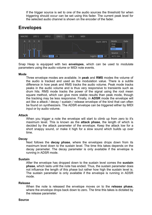If the trigger source is set to one of the audio sources the threshold for when triggering should occur can be set using this fader. The current peak level for the selected audio channel is shown on the encoder of the fader.

### <span id="page-11-0"></span>**Envelopes**



Snap Heap is equipped with two **envelopes**, which can be used to modulate parameters using the audio volume or MIDI note events.

#### **Mode**

Three envelope modes are available. In **peak** and **RMS** modes the volume of the audio is tracked and used as the modulation value. There is a subtle difference in how peak and RMS tracks the audio volume. Peak mode tracks peaks in the audio volume and is thus very responsive to transients such as drum hits. RMS mode tracks the power of the signal using the root mean square method, which can give more stable results than peak mode, though the tracking may be less responsive. Finally, in **ADSR** mode the envelope will act like a attack / decay / sustain / release envelope of the kind that can often be found on synthesizers. The ADSR envelope can be triggered either by MIDI input or by audio volume.

#### **Attack**

When you trigger a note the envelope will start to climb up from zero to it's maximum level. This is known as the **attack phase**, the length of which is decided by the attack parameter of the envelope. Keep the attack low for a short snappy sound, or make it high for a slow sound which builds up over time.

#### **Decay**

Next follows the **decay phase**, where the envelopes drops down from its maximum level down to the sustain level. The time this takes depends on the decay parameter. The decay parameter is only available if the envelope is running in ADSR mode.

#### **Sustain**

After the envelope has dropped down to the sustain level comes the **sustain phase**, which lasts until the note has ended. Thus, the sustain parameter does not influence the length of this phase but rather how high the sustain level is. The sustain parameter is only available if the envelope is running in ADSR mode.

#### **Release**

When the note is released the envelope moves on to the **release phase**, where the envelope drops back down to zero. The time this takes is dictated by the release parameter.

#### **Source**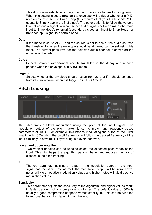This drop down selects which input signal to follow or to use for retriggering. When this setting is set to **note on** the envelope will retrigger whenever a MIDI note on event is sent to Snap Heap (this requires that your DAW sends MIDI events to Snap Heap in the first place). The other option is to follow the volume level of an audio signal. You can select audio signals between **main** (the main input to Snap Heap), **external** (secondary / sidechain input to Snap Heap) or **band** for input signal to a certain band.

#### **Gate**

If the mode is set to ADSR and the source is set to one of the audio sources the threshold for when the envelope should be triggered can be set using this fader. The current peak level for the selected audio channel is shown on the encoder of the fader.

#### **Curve**

Selects between **exponential** and **linear** falloff in the decay and release phases when the envelope is in ADSR mode.

#### **Legato**

Selects whether the envelope should restart from zero or if it should continue from its current value when it is triggered in ADSR mode.

### <span id="page-12-0"></span>**Pitch tracking**



The pitch tracker allows modulation using the pitch of the input signal. The modulation output of the pitch tracker is set to match any frequency based parameters at 100%. For example, this means modulating the cutoff of the Filter snapin with 100% pitch, the cutoff frequency will follow the tracked frequency of the input similarily to how 100% keytracking in a synth behaves.

#### **Lower and upper note limit**

Two vertical handles can be used to select the expected pitch range of the input. This hint helps the algorithm perform better and reduces the risk of glitches in the pitch tracking.

#### **Root**

The root parameter acts as an offset in the modulation output. If the input signal has the same note as root, the modulation output will be zero. Lower notes will yield negative modulation values and higher notes will yield positive modulation values.

#### **Sensitivity**

This parameter adjusts the sensitivity of the algorithm, and higher values result in faster tracking but is more prone to glitches. The default value of 50% is usually a good compromise of speed versus stability, but this can be tweaked to improve the tracking depending on the input.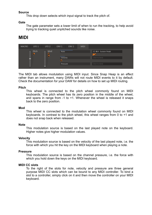#### **Source**

This drop down selects which input signal to track the pitch of.

#### **Gate**

The gate parameter sets a lower limit of when to run the tracking, to help avoid trying to tracking quiet unpitched sounds like noise.

### <span id="page-13-0"></span>**MIDI**

| <b>MACRO</b> | LFO <sub>1</sub>  | LFO <sub>2</sub>          | ENV <sub>1</sub> | ENV <sub>2</sub> | <b>MIDI</b> |                        |  |
|--------------|-------------------|---------------------------|------------------|------------------|-------------|------------------------|--|
|              | Pitch<br>$\equiv$ | Mod<br>$\equiv$<br>2<br>O | Note             |                  |             | CC #64 - Sustain Pedal |  |
|              |                   | ۳<br>C                    |                  | Velocity         |             | Click to bind          |  |
|              |                   |                           |                  |                  |             |                        |  |
|              |                   |                           | Pressure         |                  |             | Click to bind          |  |
|              |                   | 3                         |                  |                  |             |                        |  |

The MIDI tab allows modulation using MIDI input. Since Snap Heap is an effect rather than an instrument, many DAWs will not route MIDI events to it by default. Check the documentation for your DAW for details on how to set up MIDI routing.

#### **Pitch**

This wheel is connected to the pitch wheel commonly found on MIDI keyboards. The pitch wheel has its zero position in the middle of the wheel, and spans in range from -1 to +1. Whenever the wheel is released it snaps back to the zero position.

#### **Mod**

This wheel is connected to the modulation wheel commonly found on MIDI keyboards. In contrast to the pitch wheel, this wheel ranges from 0 to +1 and does not snap back when released.

#### **Note**

This modulation source is based on the last played note on the keyboard. Higher notes give higher modulation values.

#### **Velocity**

This modulation source is based on the velocity of the last played note, i.e. the force with which you hit the key on the MIDI keyboard when playing a note.

#### **Pressure**

This modulation source is based on the channel pressure, i.e. the force with which you hold down the keys on the MIDI keyboard.

#### **MIDI CC slots**

To the right of the slots for note, velocity and pressure are three general purpose MIDI CC slots which can be bound to any MIDI controller. To bind a slot to a controller, simply click on it and then move the controller on your MIDI keyboard.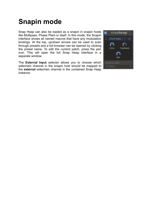# <span id="page-14-0"></span>**Snapin mode**

Snap Heap can also be loaded as a snapin in snapin hosts like Multipass, Phase Plant or itself. In this mode, the Snapin interface shows all named macros that have any modulation bindings. At the top, up/down arrows can be used to scan through presets and a full browser can be opened by clicking the preset name. To edit the current patch, press the pen icon. This will open the full Snap Heap interface in a separate window.

The **External Input** selector allows you to choose which sidechain channel in the snapin host should be mapped to the **external** sidechain channel in the contained Snap Heap instance.